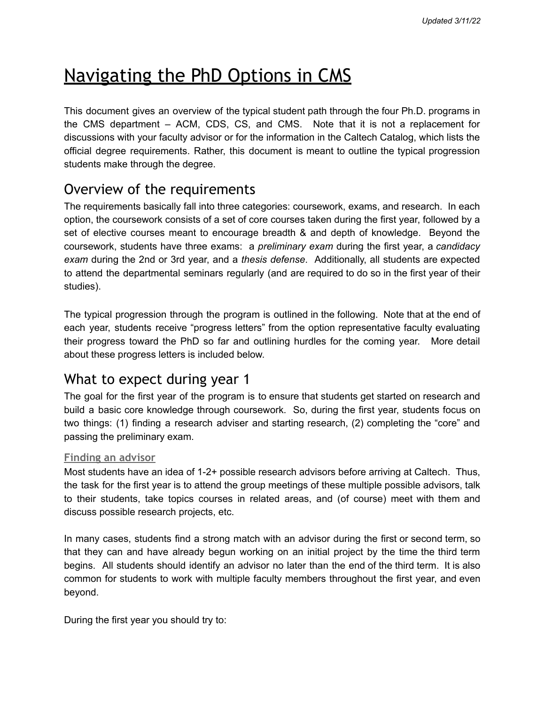# Navigating the PhD Options in CMS

This document gives an overview of the typical student path through the four Ph.D. programs in the CMS department – ACM, CDS, CS, and CMS. Note that it is not a replacement for discussions with your faculty advisor or for the information in the Caltech Catalog, which lists the official degree requirements. Rather, this document is meant to outline the typical progression students make through the degree.

# Overview of the requirements

The requirements basically fall into three categories: coursework, exams, and research. In each option, the coursework consists of a set of core courses taken during the first year, followed by a set of elective courses meant to encourage breadth & and depth of knowledge. Beyond the coursework, students have three exams: a *preliminary exam* during the first year, a *candidacy exam* during the 2nd or 3rd year, and a *thesis defense*. Additionally, all students are expected to attend the departmental seminars regularly (and are required to do so in the first year of their studies).

The typical progression through the program is outlined in the following. Note that at the end of each year, students receive "progress letters" from the option representative faculty evaluating their progress toward the PhD so far and outlining hurdles for the coming year. More detail about these progress letters is included below.

### What to expect during year 1

The goal for the first year of the program is to ensure that students get started on research and build a basic core knowledge through coursework. So, during the first year, students focus on two things: (1) finding a research adviser and starting research, (2) completing the "core" and passing the preliminary exam.

#### **Finding an advisor**

Most students have an idea of 1-2+ possible research advisors before arriving at Caltech. Thus, the task for the first year is to attend the group meetings of these multiple possible advisors, talk to their students, take topics courses in related areas, and (of course) meet with them and discuss possible research projects, etc.

In many cases, students find a strong match with an advisor during the first or second term, so that they can and have already begun working on an initial project by the time the third term begins. All students should identify an advisor no later than the end of the third term. It is also common for students to work with multiple faculty members throughout the first year, and even beyond.

During the first year you should try to: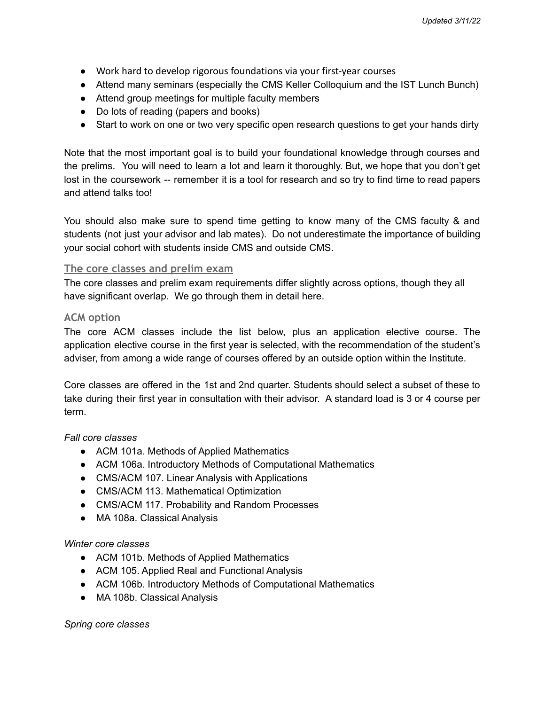- Work hard to develop rigorous foundations via your first-year courses
- Attend many seminars (especially the CMS Keller Colloquium and the IST Lunch Bunch)
- Attend group meetings for multiple faculty members
- Do lots of reading (papers and books)
- Start to work on one or two very specific open research questions to get your hands dirty

Note that the most important goal is to build your foundational knowledge through courses and the prelims. You will need to learn a lot and learn it thoroughly. But, we hope that you don't get lost in the coursework -- remember it is a tool for research and so try to find time to read papers and attend talks too!

You should also make sure to spend time getting to know many of the CMS faculty & and students (not just your advisor and lab mates). Do not underestimate the importance of building your social cohort with students inside CMS and outside CMS.

#### **The core classes and prelim exam**

The core classes and prelim exam requirements differ slightly across options, though they all have significant overlap. We go through them in detail here.

#### **ACM option**

The core ACM classes include the list below, plus an application elective course. The application elective course in the first year is selected, with the recommendation of the student's adviser, from among a wide range of courses offered by an outside option within the Institute.

Core classes are offered in the 1st and 2nd quarter. Students should select a subset of these to take during their first year in consultation with their advisor. A standard load is 3 or 4 course per term.

#### *Fall core classes*

- ACM 101a. Methods of Applied Mathematics
- ACM 106a. Introductory Methods of Computational Mathematics
- CMS/ACM 107. Linear Analysis with Applications
- CMS/ACM 113. Mathematical Optimization
- CMS/ACM 117. Probability and Random Processes
- MA 108a. Classical Analysis

#### *Winter core classes*

- ACM 101b. Methods of Applied Mathematics
- ACM 105. Applied Real and Functional Analysis
- ACM 106b. Introductory Methods of Computational Mathematics
- MA 108b. Classical Analysis

*Spring core classes*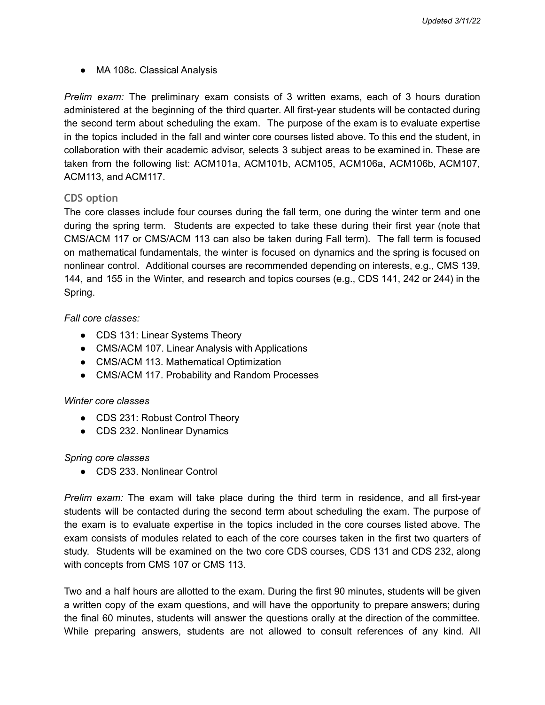● MA 108c. Classical Analysis

*Prelim exam:* The preliminary exam consists of 3 written exams, each of 3 hours duration administered at the beginning of the third quarter. All first-year students will be contacted during the second term about scheduling the exam. The purpose of the exam is to evaluate expertise in the topics included in the fall and winter core courses listed above. To this end the student, in collaboration with their academic advisor, selects 3 subject areas to be examined in. These are taken from the following list: ACM101a, ACM101b, ACM105, ACM106a, ACM106b, ACM107, ACM113, and ACM117.

#### **CDS option**

The core classes include four courses during the fall term, one during the winter term and one during the spring term. Students are expected to take these during their first year (note that CMS/ACM 117 or CMS/ACM 113 can also be taken during Fall term). The fall term is focused on mathematical fundamentals, the winter is focused on dynamics and the spring is focused on nonlinear control. Additional courses are recommended depending on interests, e.g., CMS 139, 144, and 155 in the Winter, and research and topics courses (e.g., CDS 141, 242 or 244) in the Spring.

#### *Fall core classes:*

- CDS 131: Linear Systems Theory
- CMS/ACM 107. Linear Analysis with Applications
- CMS/ACM 113. Mathematical Optimization
- CMS/ACM 117. Probability and Random Processes

#### *Winter core classes*

- CDS 231: Robust Control Theory
- CDS 232. Nonlinear Dynamics

#### *Spring core classes*

● CDS 233. Nonlinear Control

*Prelim exam:* The exam will take place during the third term in residence, and all first-year students will be contacted during the second term about scheduling the exam. The purpose of the exam is to evaluate expertise in the topics included in the core courses listed above. The exam consists of modules related to each of the core courses taken in the first two quarters of study. Students will be examined on the two core CDS courses, CDS 131 and CDS 232, along with concepts from CMS 107 or CMS 113.

Two and a half hours are allotted to the exam. During the first 90 minutes, students will be given a written copy of the exam questions, and will have the opportunity to prepare answers; during the final 60 minutes, students will answer the questions orally at the direction of the committee. While preparing answers, students are not allowed to consult references of any kind. All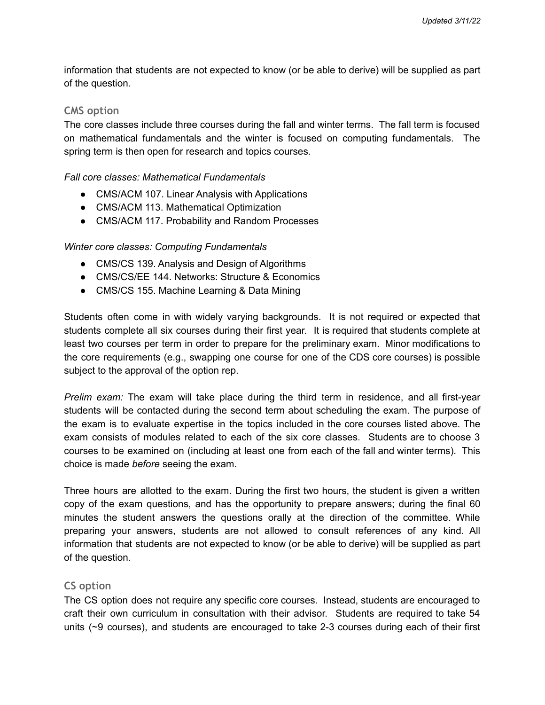information that students are not expected to know (or be able to derive) will be supplied as part of the question.

#### **CMS option**

The core classes include three courses during the fall and winter terms. The fall term is focused on mathematical fundamentals and the winter is focused on computing fundamentals. The spring term is then open for research and topics courses.

#### *Fall core classes: Mathematical Fundamentals*

- CMS/ACM 107. Linear Analysis with Applications
- CMS/ACM 113. Mathematical Optimization
- CMS/ACM 117. Probability and Random Processes

#### *Winter core classes: Computing Fundamentals*

- CMS/CS 139. Analysis and Design of Algorithms
- CMS/CS/EE 144. Networks: Structure & Economics
- CMS/CS 155. Machine Learning & Data Mining

Students often come in with widely varying backgrounds. It is not required or expected that students complete all six courses during their first year. It is required that students complete at least two courses per term in order to prepare for the preliminary exam. Minor modifications to the core requirements (e.g., swapping one course for one of the CDS core courses) is possible subject to the approval of the option rep.

*Prelim exam:* The exam will take place during the third term in residence, and all first-year students will be contacted during the second term about scheduling the exam. The purpose of the exam is to evaluate expertise in the topics included in the core courses listed above. The exam consists of modules related to each of the six core classes. Students are to choose 3 courses to be examined on (including at least one from each of the fall and winter terms). This choice is made *before* seeing the exam.

Three hours are allotted to the exam. During the first two hours, the student is given a written copy of the exam questions, and has the opportunity to prepare answers; during the final 60 minutes the student answers the questions orally at the direction of the committee. While preparing your answers, students are not allowed to consult references of any kind. All information that students are not expected to know (or be able to derive) will be supplied as part of the question.

#### **CS option**

The CS option does not require any specific core courses. Instead, students are encouraged to craft their own curriculum in consultation with their advisor. Students are required to take 54 units (~9 courses), and students are encouraged to take 2-3 courses during each of their first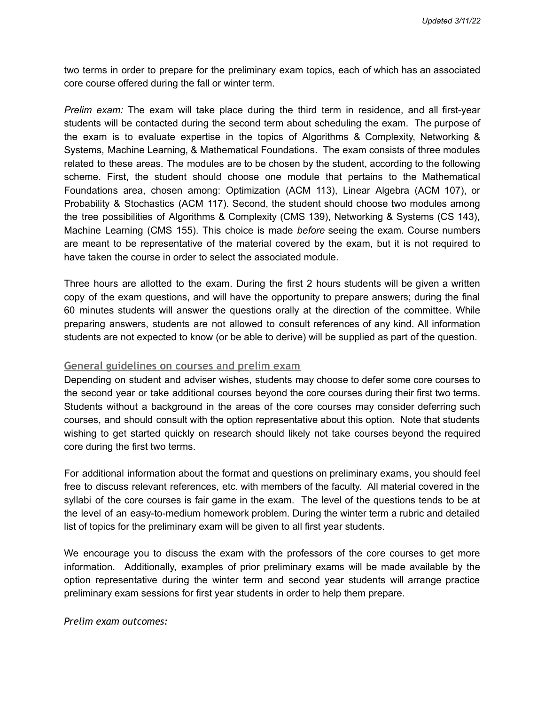two terms in order to prepare for the preliminary exam topics, each of which has an associated core course offered during the fall or winter term.

*Prelim exam:* The exam will take place during the third term in residence, and all first-year students will be contacted during the second term about scheduling the exam. The purpose of the exam is to evaluate expertise in the topics of Algorithms & Complexity, Networking & Systems, Machine Learning, & Mathematical Foundations. The exam consists of three modules related to these areas. The modules are to be chosen by the student, according to the following scheme. First, the student should choose one module that pertains to the Mathematical Foundations area, chosen among: Optimization (ACM 113), Linear Algebra (ACM 107), or Probability & Stochastics (ACM 117). Second, the student should choose two modules among the tree possibilities of Algorithms & Complexity (CMS 139), Networking & Systems (CS 143), Machine Learning (CMS 155). This choice is made *before* seeing the exam. Course numbers are meant to be representative of the material covered by the exam, but it is not required to have taken the course in order to select the associated module.

Three hours are allotted to the exam. During the first 2 hours students will be given a written copy of the exam questions, and will have the opportunity to prepare answers; during the final 60 minutes students will answer the questions orally at the direction of the committee. While preparing answers, students are not allowed to consult references of any kind. All information students are not expected to know (or be able to derive) will be supplied as part of the question.

#### **General guidelines on courses and prelim exam**

Depending on student and adviser wishes, students may choose to defer some core courses to the second year or take additional courses beyond the core courses during their first two terms. Students without a background in the areas of the core courses may consider deferring such courses, and should consult with the option representative about this option. Note that students wishing to get started quickly on research should likely not take courses beyond the required core during the first two terms.

For additional information about the format and questions on preliminary exams, you should feel free to discuss relevant references, etc. with members of the faculty. All material covered in the syllabi of the core courses is fair game in the exam. The level of the questions tends to be at the level of an easy-to-medium homework problem. During the winter term a rubric and detailed list of topics for the preliminary exam will be given to all first year students.

We encourage you to discuss the exam with the professors of the core courses to get more information. Additionally, examples of prior preliminary exams will be made available by the option representative during the winter term and second year students will arrange practice preliminary exam sessions for first year students in order to help them prepare.

*Prelim exam outcomes:*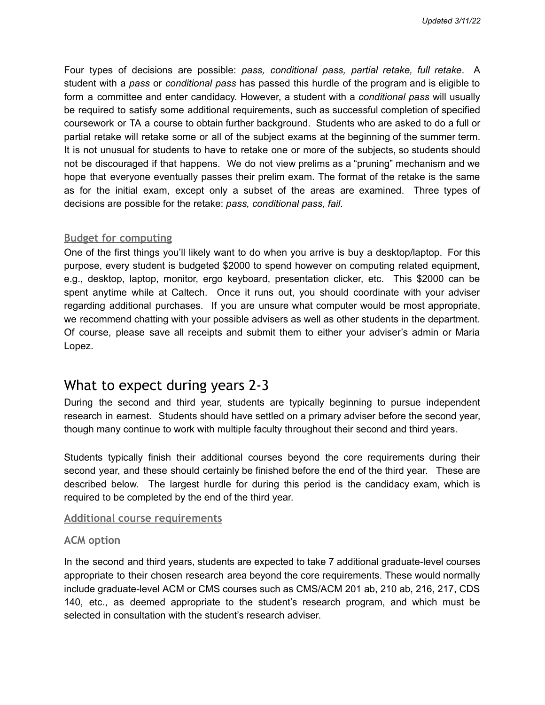Four types of decisions are possible: *pass, conditional pass, partial retake, full retake*. A student with a *pass* or *conditional pass* has passed this hurdle of the program and is eligible to form a committee and enter candidacy. However, a student with a *conditional pass* will usually be required to satisfy some additional requirements, such as successful completion of specified coursework or TA a course to obtain further background. Students who are asked to do a full or partial retake will retake some or all of the subject exams at the beginning of the summer term. It is not unusual for students to have to retake one or more of the subjects, so students should not be discouraged if that happens. We do not view prelims as a "pruning" mechanism and we hope that everyone eventually passes their prelim exam. The format of the retake is the same as for the initial exam, except only a subset of the areas are examined. Three types of decisions are possible for the retake: *pass, conditional pass, fail*.

#### **Budget for computing**

One of the first things you'll likely want to do when you arrive is buy a desktop/laptop. For this purpose, every student is budgeted \$2000 to spend however on computing related equipment, e.g., desktop, laptop, monitor, ergo keyboard, presentation clicker, etc. This \$2000 can be spent anytime while at Caltech. Once it runs out, you should coordinate with your adviser regarding additional purchases. If you are unsure what computer would be most appropriate, we recommend chatting with your possible advisers as well as other students in the department. Of course, please save all receipts and submit them to either your adviser's admin or Maria Lopez.

### What to expect during years 2-3

During the second and third year, students are typically beginning to pursue independent research in earnest. Students should have settled on a primary adviser before the second year, though many continue to work with multiple faculty throughout their second and third years.

Students typically finish their additional courses beyond the core requirements during their second year, and these should certainly be finished before the end of the third year. These are described below. The largest hurdle for during this period is the candidacy exam, which is required to be completed by the end of the third year.

#### **Additional course requirements**

#### **ACM option**

In the second and third years, students are expected to take 7 additional graduate-level courses appropriate to their chosen research area beyond the core requirements. These would normally include graduate-level ACM or CMS courses such as CMS/ACM 201 ab, 210 ab, 216, 217, CDS 140, etc., as deemed appropriate to the student's research program, and which must be selected in consultation with the student's research adviser.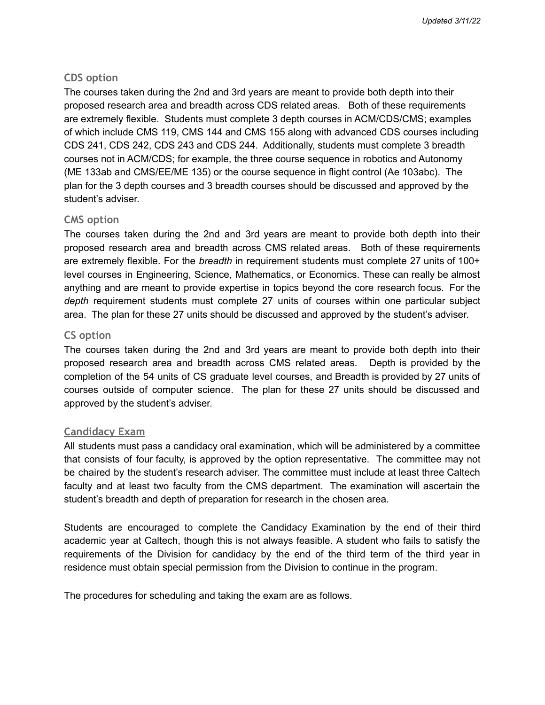#### **CDS option**

The courses taken during the 2nd and 3rd years are meant to provide both depth into their proposed research area and breadth across CDS related areas. Both of these requirements are extremely flexible. Students must complete 3 depth courses in ACM/CDS/CMS; examples of which include CMS 119, CMS 144 and CMS 155 along with advanced CDS courses including CDS 241, CDS 242, CDS 243 and CDS 244. Additionally, students must complete 3 breadth courses not in ACM/CDS; for example, the three course sequence in robotics and Autonomy (ME 133ab and CMS/EE/ME 135) or the course sequence in flight control (Ae 103abc). The plan for the 3 depth courses and 3 breadth courses should be discussed and approved by the student's adviser.

#### **CMS option**

The courses taken during the 2nd and 3rd years are meant to provide both depth into their proposed research area and breadth across CMS related areas. Both of these requirements are extremely flexible. For the *breadth* in requirement students must complete 27 units of 100+ level courses in Engineering, Science, Mathematics, or Economics. These can really be almost anything and are meant to provide expertise in topics beyond the core research focus. For the *depth* requirement students must complete 27 units of courses within one particular subject area. The plan for these 27 units should be discussed and approved by the student's adviser.

#### **CS option**

The courses taken during the 2nd and 3rd years are meant to provide both depth into their proposed research area and breadth across CMS related areas. Depth is provided by the completion of the 54 units of CS graduate level courses, and Breadth is provided by 27 units of courses outside of computer science. The plan for these 27 units should be discussed and approved by the student's adviser.

#### **Candidacy Exam**

All students must pass a candidacy oral examination, which will be administered by a committee that consists of four faculty, is approved by the option representative. The committee may not be chaired by the student's research adviser. The committee must include at least three Caltech faculty and at least two faculty from the CMS department. The examination will ascertain the student's breadth and depth of preparation for research in the chosen area.

Students are encouraged to complete the Candidacy Examination by the end of their third academic year at Caltech, though this is not always feasible. A student who fails to satisfy the requirements of the Division for candidacy by the end of the third term of the third year in residence must obtain special permission from the Division to continue in the program.

The procedures for scheduling and taking the exam are as follows.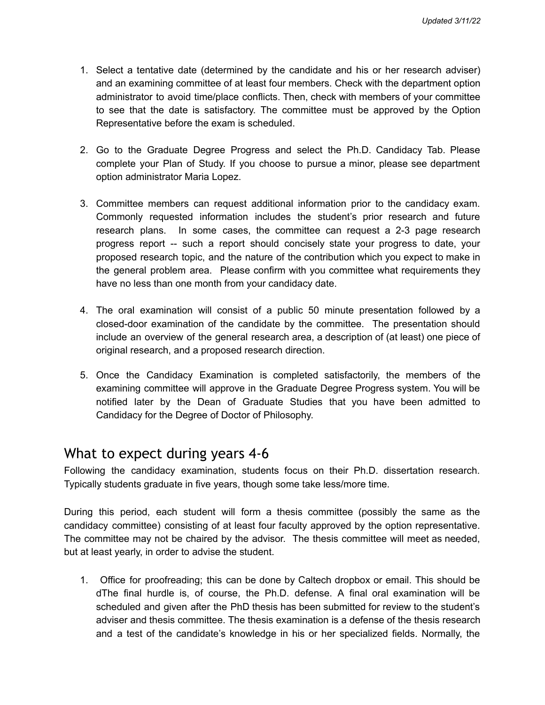- 1. Select a tentative date (determined by the candidate and his or her research adviser) and an examining committee of at least four members. Check with the department option administrator to avoid time/place conflicts. Then, check with members of your committee to see that the date is satisfactory. The committee must be approved by the Option Representative before the exam is scheduled.
- 2. Go to the Graduate Degree Progress and select the Ph.D. Candidacy Tab. Please complete your Plan of Study. If you choose to pursue a minor, please see department option administrator Maria Lopez.
- 3. Committee members can request additional information prior to the candidacy exam. Commonly requested information includes the student's prior research and future research plans. In some cases, the committee can request a 2-3 page research progress report -- such a report should concisely state your progress to date, your proposed research topic, and the nature of the contribution which you expect to make in the general problem area. Please confirm with you committee what requirements they have no less than one month from your candidacy date.
- 4. The oral examination will consist of a public 50 minute presentation followed by a closed-door examination of the candidate by the committee. The presentation should include an overview of the general research area, a description of (at least) one piece of original research, and a proposed research direction.
- 5. Once the Candidacy Examination is completed satisfactorily, the members of the examining committee will approve in the Graduate Degree Progress system. You will be notified later by the Dean of Graduate Studies that you have been admitted to Candidacy for the Degree of Doctor of Philosophy.

# What to expect during years 4-6

Following the candidacy examination, students focus on their Ph.D. dissertation research. Typically students graduate in five years, though some take less/more time.

During this period, each student will form a thesis committee (possibly the same as the candidacy committee) consisting of at least four faculty approved by the option representative. The committee may not be chaired by the advisor. The thesis committee will meet as needed, but at least yearly, in order to advise the student.

1. Office for proofreading; this can be done by Caltech dropbox or email. This should be dThe final hurdle is, of course, the Ph.D. defense. A final oral examination will be scheduled and given after the PhD thesis has been submitted for review to the student's adviser and thesis committee. The thesis examination is a defense of the thesis research and a test of the candidate's knowledge in his or her specialized fields. Normally, the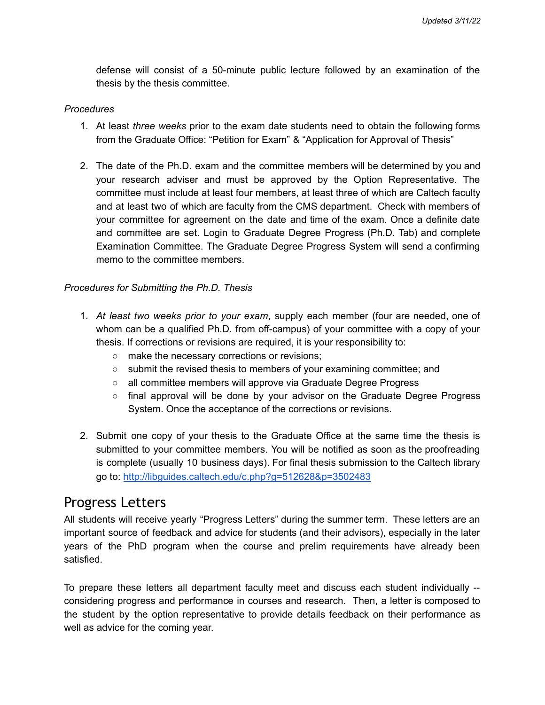defense will consist of a 50-minute public lecture followed by an examination of the thesis by the thesis committee.

#### *Procedures*

- 1. At least *three weeks* prior to the exam date students need to obtain the following forms from the Graduate Office: "Petition for Exam" & "Application for Approval of Thesis"
- 2. The date of the Ph.D. exam and the committee members will be determined by you and your research adviser and must be approved by the Option Representative. The committee must include at least four members, at least three of which are Caltech faculty and at least two of which are faculty from the CMS department. Check with members of your committee for agreement on the date and time of the exam. Once a definite date and committee are set. Login to Graduate Degree Progress (Ph.D. Tab) and complete Examination Committee. The Graduate Degree Progress System will send a confirming memo to the committee members.

#### *Procedures for Submitting the Ph.D. Thesis*

- 1. *At least two weeks prior to your exam*, supply each member (four are needed, one of whom can be a qualified Ph.D. from off-campus) of your committee with a copy of your thesis. If corrections or revisions are required, it is your responsibility to:
	- make the necessary corrections or revisions;
	- submit the revised thesis to members of your examining committee; and
	- all committee members will approve via Graduate Degree Progress
	- final approval will be done by your advisor on the Graduate Degree Progress System. Once the acceptance of the corrections or revisions.
- 2. Submit one copy of your thesis to the Graduate Office at the same time the thesis is submitted to your committee members. You will be notified as soon as the proofreading is complete (usually 10 business days). For final thesis submission to the Caltech library go to: <http://libguides.caltech.edu/c.php?g=512628&p=3502483>

### Progress Letters

All students will receive yearly "Progress Letters" during the summer term. These letters are an important source of feedback and advice for students (and their advisors), especially in the later years of the PhD program when the course and prelim requirements have already been satisfied.

To prepare these letters all department faculty meet and discuss each student individually - considering progress and performance in courses and research. Then, a letter is composed to the student by the option representative to provide details feedback on their performance as well as advice for the coming year.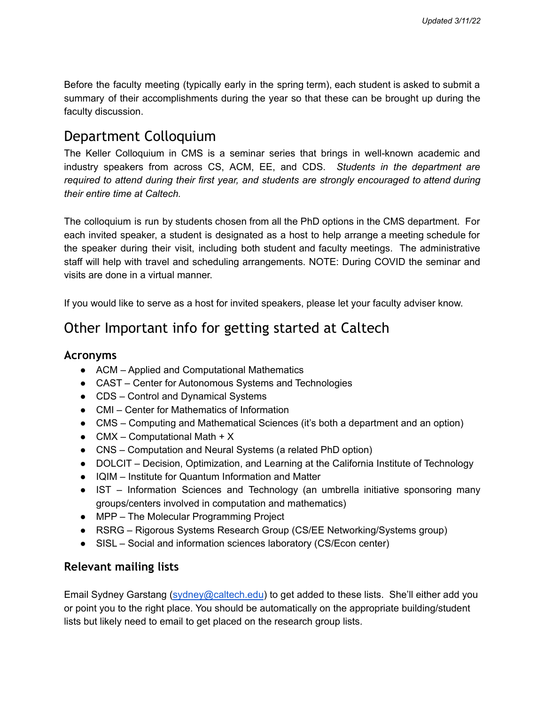Before the faculty meeting (typically early in the spring term), each student is asked to submit a summary of their accomplishments during the year so that these can be brought up during the faculty discussion.

# Department Colloquium

The Keller Colloquium in CMS is a seminar series that brings in well-known academic and industry speakers from across CS, ACM, EE, and CDS. *Students in the department are required to attend during their first year, and students are strongly encouraged to attend during their entire time at Caltech.*

The colloquium is run by students chosen from all the PhD options in the CMS department. For each invited speaker, a student is designated as a host to help arrange a meeting schedule for the speaker during their visit, including both student and faculty meetings. The administrative staff will help with travel and scheduling arrangements. NOTE: During COVID the seminar and visits are done in a virtual manner.

If you would like to serve as a host for invited speakers, please let your faculty adviser know.

# Other Important info for getting started at Caltech

### **Acronyms**

- ACM Applied and Computational Mathematics
- CAST Center for Autonomous Systems and Technologies
- CDS Control and Dynamical Systems
- CMI Center for Mathematics of Information
- CMS Computing and Mathematical Sciences (it's both a department and an option)
- CMX Computational Math +  $X$
- CNS Computation and Neural Systems (a related PhD option)
- DOLCIT Decision, Optimization, and Learning at the California Institute of Technology
- IQIM Institute for Quantum Information and Matter
- IST Information Sciences and Technology (an umbrella initiative sponsoring many groups/centers involved in computation and mathematics)
- MPP The Molecular Programming Project
- RSRG Rigorous Systems Research Group (CS/EE Networking/Systems group)
- SISL Social and information sciences laboratory (CS/Econ center)

### **Relevant mailing lists**

Email Sydney Garstang [\(sydney@caltech.edu](mailto:sydney@caltech.edu)) to get added to these lists. She'll either add you or point you to the right place. You should be automatically on the appropriate building/student lists but likely need to email to get placed on the research group lists.